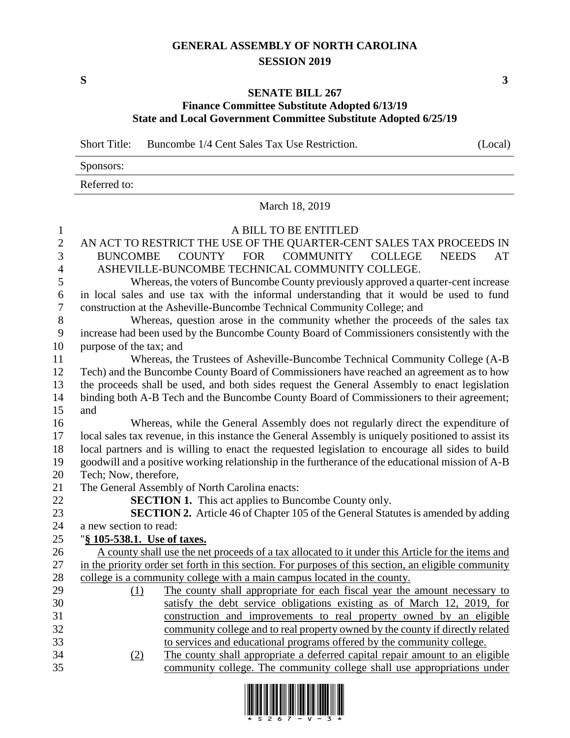## **GENERAL ASSEMBLY OF NORTH CAROLINA SESSION 2019**

**S 3**

## **SENATE BILL 267 Finance Committee Substitute Adopted 6/13/19**

## **State and Local Government Committee Substitute Adopted 6/25/19**

Short Title: Buncombe 1/4 Cent Sales Tax Use Restriction. (Local)

| Sponsors:    |  |
|--------------|--|
| Referred to: |  |

March 18, 2019

## A BILL TO BE ENTITLED AN ACT TO RESTRICT THE USE OF THE QUARTER-CENT SALES TAX PROCEEDS IN BUNCOMBE COUNTY FOR COMMUNITY COLLEGE NEEDS AT ASHEVILLE-BUNCOMBE TECHNICAL COMMUNITY COLLEGE. Whereas, the voters of Buncombe County previously approved a quarter-cent increase in local sales and use tax with the informal understanding that it would be used to fund construction at the Asheville-Buncombe Technical Community College; and Whereas, question arose in the community whether the proceeds of the sales tax increase had been used by the Buncombe County Board of Commissioners consistently with the purpose of the tax; and Whereas, the Trustees of Asheville-Buncombe Technical Community College (A-B Tech) and the Buncombe County Board of Commissioners have reached an agreement as to how the proceeds shall be used, and both sides request the General Assembly to enact legislation binding both A-B Tech and the Buncombe County Board of Commissioners to their agreement; and Whereas, while the General Assembly does not regularly direct the expenditure of local sales tax revenue, in this instance the General Assembly is uniquely positioned to assist its local partners and is willing to enact the requested legislation to encourage all sides to build goodwill and a positive working relationship in the furtherance of the educational mission of A-B Tech; Now, therefore, The General Assembly of North Carolina enacts: **SECTION 1.** This act applies to Buncombe County only. **SECTION 2.** Article 46 of Chapter 105 of the General Statutes is amended by adding a new section to read: "**§ 105-538.1. Use of taxes.** 26 A county shall use the net proceeds of a tax allocated to it under this Article for the items and in the priority order set forth in this section. For purposes of this section, an eligible community college is a community college with a main campus located in the county. (1) The county shall appropriate for each fiscal year the amount necessary to satisfy the debt service obligations existing as of March 12, 2019, for construction and improvements to real property owned by an eligible community college and to real property owned by the county if directly related to services and educational programs offered by the community college. (2) The county shall appropriate a deferred capital repair amount to an eligible community college. The community college shall use appropriations under